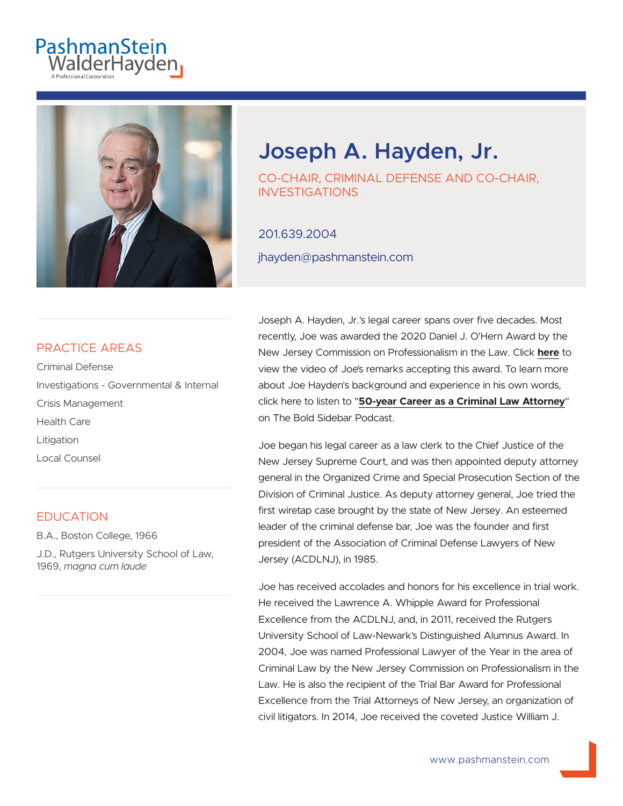# PashmanStein<br>WalderHayden



# **Joseph A. Hayden, Jr.**

CO-CHAIR, CRIMINAL DEFENSE AND CO-CHAIR, INVESTIGATIONS

#### 201.639.2004

jhayden@pashmanstein.com

#### PRACTICE AREAS

Criminal Defense Investigations - Governmental & Internal Crisis Management Health Care **Litigation** Local Counsel

#### EDUCATION

B.A., Boston College, 1966

J.D., Rutgers University School of Law, 1969, *magna cum laude*

Joseph A. Hayden, Jr.'s legal career spans over five decades. Most recently, Joe was awarded the 2020 Daniel J. O'Hern Award by the New Jersey Commission on Professionalism in the Law. Click **here** to view the video of Joe's remarks accepting this award. To learn more about Joe Hayden's background and experience in his own words, click here to listen to "**50-year Career as a Criminal Law Attorney**" on The Bold Sidebar Podcast.

Joe began his legal career as a law clerk to the Chief Justice of the New Jersey Supreme Court, and was then appointed deputy attorney general in the Organized Crime and Special Prosecution Section of the Division of Criminal Justice. As deputy attorney general, Joe tried the first wiretap case brought by the state of New Jersey. An esteemed leader of the criminal defense bar, Joe was the founder and first president of the Association of Criminal Defense Lawyers of New Jersey (ACDLNJ), in 1985.

Joe has received accolades and honors for his excellence in trial work. He received the Lawrence A. Whipple Award for Professional Excellence from the ACDLNJ, and, in 2011, received the Rutgers University School of Law-Newark's Distinguished Alumnus Award. In 2004, Joe was named Professional Lawyer of the Year in the area of Criminal Law by the New Jersey Commission on Professionalism in the Law. He is also the recipient of the Trial Bar Award for Professional Excellence from the Trial Attorneys of New Jersey, an organization of civil litigators. In 2014, Joe received the coveted Justice William J.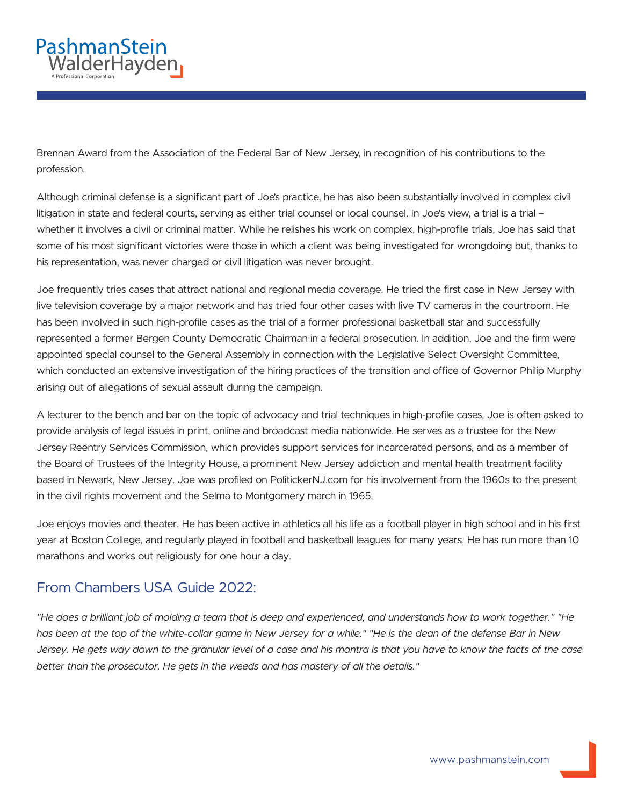

Brennan Award from the Association of the Federal Bar of New Jersey, in recognition of his contributions to the profession.

Although criminal defense is a significant part of Joe's practice, he has also been substantially involved in complex civil litigation in state and federal courts, serving as either trial counsel or local counsel. In Joe's view, a trial is a trial whether it involves a civil or criminal matter. While he relishes his work on complex, high-profile trials, Joe has said that some of his most significant victories were those in which a client was being investigated for wrongdoing but, thanks to his representation, was never charged or civil litigation was never brought.

Joe frequently tries cases that attract national and regional media coverage. He tried the first case in New Jersey with live television coverage by a major network and has tried four other cases with live TV cameras in the courtroom. He has been involved in such high-profile cases as the trial of a former professional basketball star and successfully represented a former Bergen County Democratic Chairman in a federal prosecution. In addition, Joe and the firm were appointed special counsel to the General Assembly in connection with the Legislative Select Oversight Committee, which conducted an extensive investigation of the hiring practices of the transition and office of Governor Philip Murphy arising out of allegations of sexual assault during the campaign.

A lecturer to the bench and bar on the topic of advocacy and trial techniques in high-profile cases, Joe is often asked to provide analysis of legal issues in print, online and broadcast media nationwide. He serves as a trustee for the New Jersey Reentry Services Commission, which provides support services for incarcerated persons, and as a member of the Board of Trustees of the Integrity House, a prominent New Jersey addiction and mental health treatment facility based in Newark, New Jersey. Joe was profiled on PolitickerNJ.com for his involvement from the 1960s to the present in the civil rights movement and the Selma to Montgomery march in 1965.

Joe enjoys movies and theater. He has been active in athletics all his life as a football player in high school and in his first year at Boston College, and regularly played in football and basketball leagues for many years. He has run more than 10 marathons and works out religiously for one hour a day.

#### From Chambers USA Guide 2022:

*"He does a brilliant job of molding a team that is deep and experienced, and understands how to work together." "He has been at the top of the white-collar game in New Jersey for a while." "He is the dean of the defense Bar in New Jersey. He gets way down to the granular level of a case and his mantra is that you have to know the facts of the case better than the prosecutor. He gets in the weeds and has mastery of all the details."*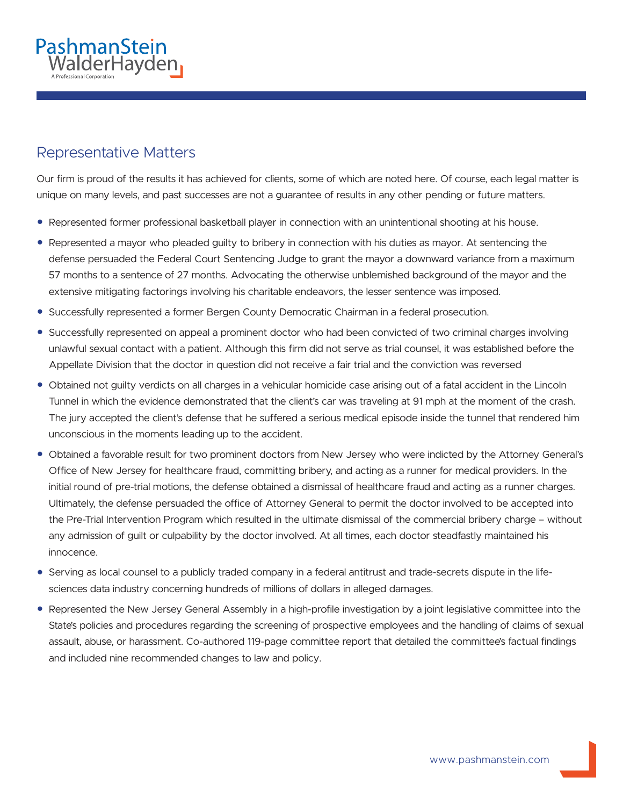

# Representative Matters

Our firm is proud of the results it has achieved for clients, some of which are noted here. Of course, each legal matter is unique on many levels, and past successes are not a guarantee of results in any other pending or future matters.

- Represented former professional basketball player in connection with an unintentional shooting at his house.
- Represented a mayor who pleaded guilty to bribery in connection with his duties as mayor. At sentencing the defense persuaded the Federal Court Sentencing Judge to grant the mayor a downward variance from a maximum 57 months to a sentence of 27 months. Advocating the otherwise unblemished background of the mayor and the extensive mitigating factorings involving his charitable endeavors, the lesser sentence was imposed.
- Successfully represented a former Bergen County Democratic Chairman in a federal prosecution.
- Successfully represented on appeal a prominent doctor who had been convicted of two criminal charges involving unlawful sexual contact with a patient. Although this firm did not serve as trial counsel, it was established before the Appellate Division that the doctor in question did not receive a fair trial and the conviction was reversed
- Obtained not guilty verdicts on all charges in a vehicular homicide case arising out of a fatal accident in the Lincoln Tunnel in which the evidence demonstrated that the client's car was traveling at 91 mph at the moment of the crash. The jury accepted the client's defense that he suffered a serious medical episode inside the tunnel that rendered him unconscious in the moments leading up to the accident.
- Obtained a favorable result for two prominent doctors from New Jersey who were indicted by the Attorney General's Office of New Jersey for healthcare fraud, committing bribery, and acting as a runner for medical providers. In the initial round of pre-trial motions, the defense obtained a dismissal of healthcare fraud and acting as a runner charges. Ultimately, the defense persuaded the office of Attorney General to permit the doctor involved to be accepted into the Pre-Trial Intervention Program which resulted in the ultimate dismissal of the commercial bribery charge – without any admission of guilt or culpability by the doctor involved. At all times, each doctor steadfastly maintained his innocence.
- Serving as local counsel to a publicly traded company in a federal antitrust and trade-secrets dispute in the lifesciences data industry concerning hundreds of millions of dollars in alleged damages.
- Represented the New Jersey General Assembly in a high-profile investigation by a joint legislative committee into the State's policies and procedures regarding the screening of prospective employees and the handling of claims of sexual assault, abuse, or harassment. Co-authored 119-page committee report that detailed the committee's factual findings and included nine recommended changes to law and policy.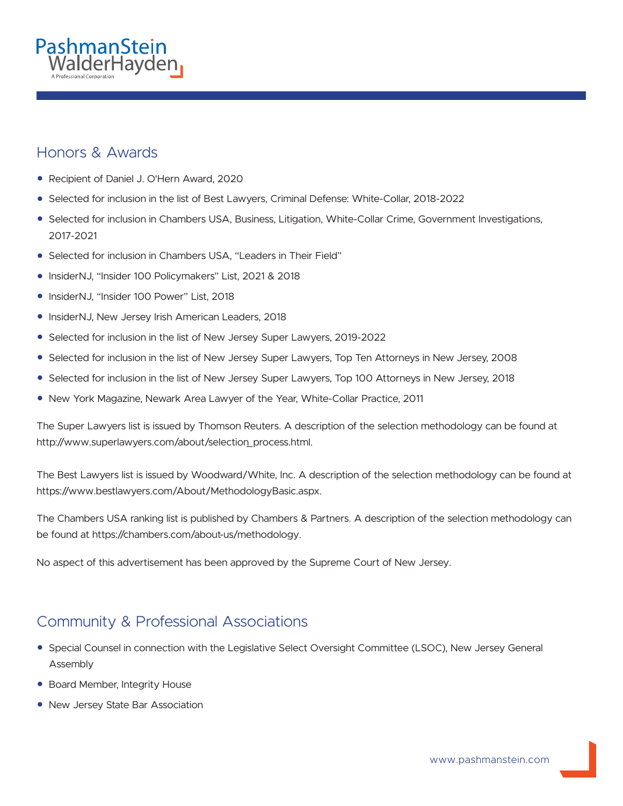

#### Honors & Awards

- Recipient of Daniel J. O'Hern Award, 2020
- Selected for inclusion in the list of Best Lawyers, Criminal Defense: White-Collar, 2018-2022
- Selected for inclusion in Chambers USA, Business, Litigation, White-Collar Crime, Government Investigations, 2017-2021
- Selected for inclusion in Chambers USA, "Leaders in Their Field"
- InsiderNJ, "Insider 100 Policymakers" List, 2021 & 2018
- InsiderNJ, "Insider 100 Power" List, 2018
- InsiderNJ, New Jersey Irish American Leaders, 2018
- Selected for inclusion in the list of New Jersey Super Lawyers, 2019-2022
- Selected for inclusion in the list of New Jersey Super Lawyers, Top Ten Attorneys in New Jersey, 2008
- Selected for inclusion in the list of New Jersey Super Lawyers, Top 100 Attorneys in New Jersey, 2018
- New York Magazine, Newark Area Lawyer of the Year, White-Collar Practice, 2011

The Super Lawyers list is issued by Thomson Reuters. A description of the selection methodology can be found at http://www.superlawyers.com/about/selection\_process.html.

The Best Lawyers list is issued by Woodward/White, Inc. A description of the selection methodology can be found at https://www.bestlawyers.com/About/MethodologyBasic.aspx.

The Chambers USA ranking list is published by Chambers & Partners. A description of the selection methodology can be found at https://chambers.com/about-us/methodology.

No aspect of this advertisement has been approved by the Supreme Court of New Jersey.

# Community & Professional Associations

- Special Counsel in connection with the Legislative Select Oversight Committee (LSOC), New Jersey General Assembly
- Board Member, Integrity House
- New Jersey State Bar Association